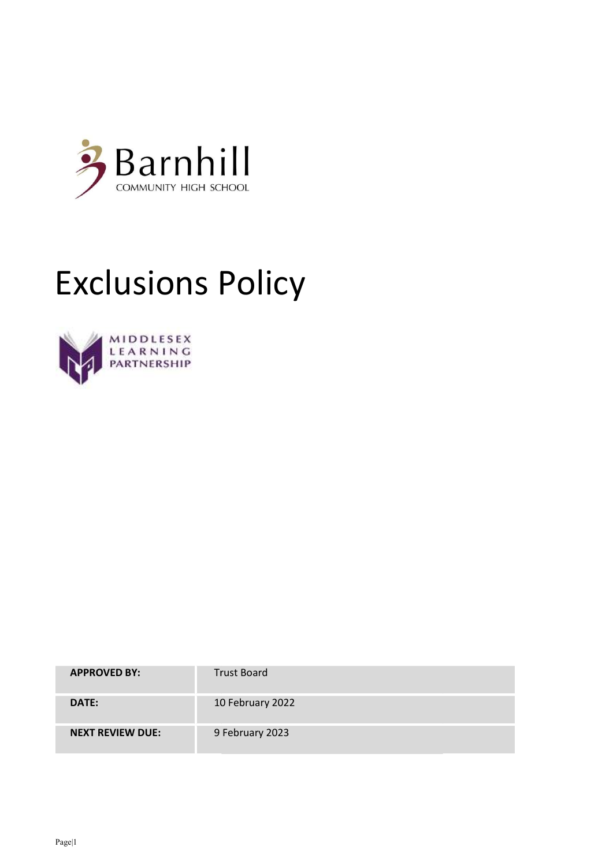

## Exclusions Policy



| <b>APPROVED BY:</b>     | <b>Trust Board</b> |
|-------------------------|--------------------|
| DATE:                   | 10 February 2022   |
| <b>NEXT REVIEW DUE:</b> | 9 February 2023    |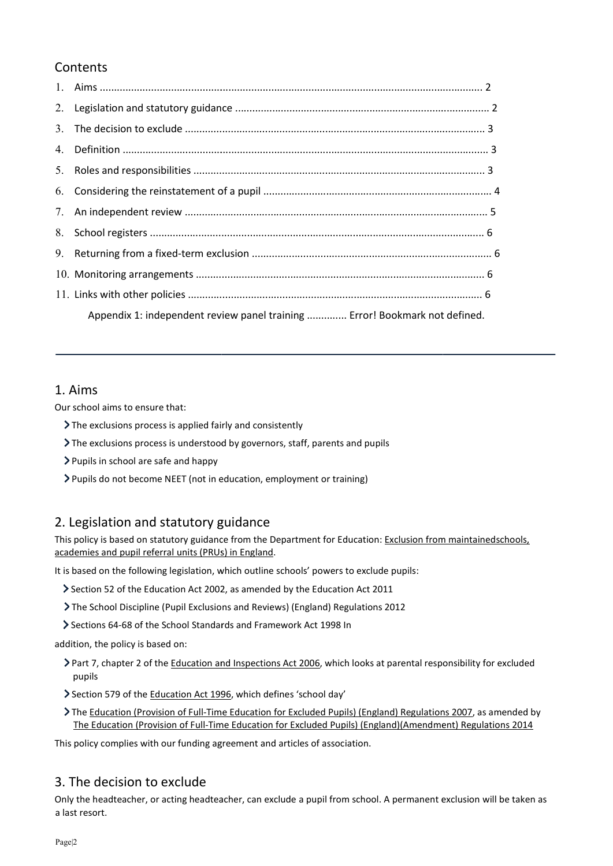## **Contents**

| Appendix 1: independent review panel training  Error! Bookmark not defined. |  |
|-----------------------------------------------------------------------------|--|

## 1. Aims

Our school aims to ensure that:

- The exclusions process is applied fairly and consistently
- The exclusions process is understood by governors, staff, parents and pupils plied fairly and consistently<br>derstood by governors, staff, parents and pupils<br>| happy<br>(not in education, employment or training)
- > Pupils in school are safe and happy
- Pupils do not become NEET (not in education, employment or training)

## 2. Legislation and statutory guidance

This policy is based on statutory guidance from the Department for Education: Exclusion from maintainedschools, academies and pupil referral units (PRUs) in England.

It is based on the following legislation, which outline schools' powers to exclude pupils:

- Section 52 of the Education Act 2002, as amended by the Education Act 2011
- The School Discipline (Pupil Exclusions and Reviews) (England) Regulations 2012
- Sections 64-68 of the School Standards and Framework Act 1998 In

addition, the policy is based on:

- ▶ Part 7, chapter 2 of the Education and Inspections Act 2006, which looks at parental responsibility for excluded pupils Part 7, chapter 2 of the <u>Education and Inspections Act 2006</u>, which looks at parental responsibility for excluded<br>pupils<br>Section 579 of the <u>Education Act 1996</u>, which defines 'school day'<br>The <u>Education (Provision of Ful</u> n the following legislation, which outline schools' powers to exclude pupils:<br>52 of the Education Act 2002, as amended by the Education Act 2011<br>ool Discipline (Pupil Exclusions and Reviews) (England) Regulations 2012<br>5 64
- Section 579 of the Education Act 1996, which defines 'school day'
- The Education (Provision of Full-Time Education for Excluded Pupils) (England)(Amendment) Regulations 2014 Time Education for Excluded Pupils) (England) Regulations 2007, as amended by<br>-Time Education for Excluded Pupils) (England)(Amendment) Regulations 2014<br>g agreement and articles of association.<br>dteacher, can exclude a pupi

This policy complies with our funding agreement and articles of association.

## 3. The decision to exclude

Only the headteacher, or acting headteacher, can exclude a pupil from school. A permanent exclusion will be taken as a last resort.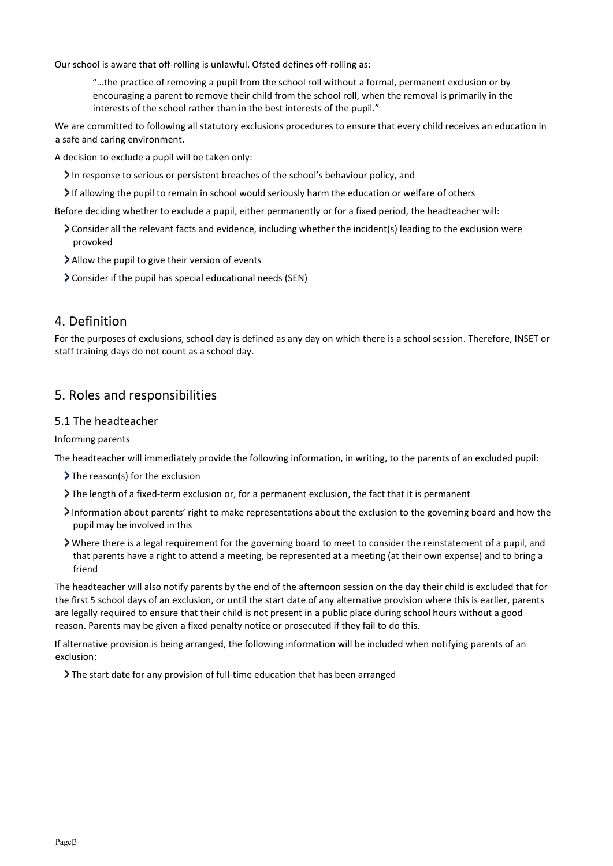Our school is aware that off-rolling is unlawful. Ofsted defines off-rolling as:

"…the practice of removing a pupil from the school roll without a formal, permanent exclusion or by encouraging a parent to remove their child from the school roll, when the removal is primarily in the interests of the school rather than in the best interests of the pupil." interests of the school rather than in the best interests of the pupil."

We are committed to following all statutory exclusions procedures to ensure that every child receives an education in a safe and caring environment.

A decision to exclude a pupil will be taken only:

- In response to serious or persistent breaches of the school's behaviour policy, and
- $\geq$  If allowing the pupil to remain in school would seriously harm the education or welfare of others

Before deciding whether to exclude a pupil, either permanently or for a fixed period, the headteacher will:

- Consider all the relevant facts and evidence, including whether the incident(s) leading to the exclusion were provoked
- Allow the pupil to give their version of events
- Consider if the pupil has special educational needs (SEN)

#### 4. Definition

For the purposes of exclusions, school day is defined as any day on which there is a school session. Therefore, INSET or staff training days do not count as a school day.

#### 5. Roles and responsibilities

#### 5.1 The headteacher

Informing parents

The headteacher will immediately provide the following information, in writing, to the parents of an excluded pupil:

- $\sum$  The reason(s) for the exclusion
- The length of a fixed-term exclusion or, for a permanent exclusion, the fact that it is permanent
- Information about parents' right to make representations about the exclusion to the governing board and how the pupil may be involved in this
- Where there is a legal requirement for the governing board to meet to consider the reinstatement of a pupil, and that parents have a right to attend a meeting, be represented at a meeting (at their own expense) and to bring a friend We are committed to following all statutory exclusions procedures to ensure that every child receives an education in<br>
a safe and caring environment.<br>  $\lambda$  decision to exclude a pupil will be taken only:<br>  $\lambda$  in response

The headteacher will also notify parents by the end of the afternoon session on the day their child is excluded that for the first 5 school days of an exclusion, or until the start date of any alternative provision where this is earlier, parents are legally required to ensure that their child is not present in a public place during school hours without a good reason. Parents may be given a fixed penalty notice or prosecuted if they fail to do this.

If alternative provision is being arranged, the following information will be included when notifying parents of an exclusion: required to ensure that their child is not present in a public place during school hours without a god<br>rents may be given a fixed penalty notice or prosecuted if they fail to do this.<br>ve provision is being arranged, the fo

 $\sum$  The start date for any provision of full-time education that has been arranged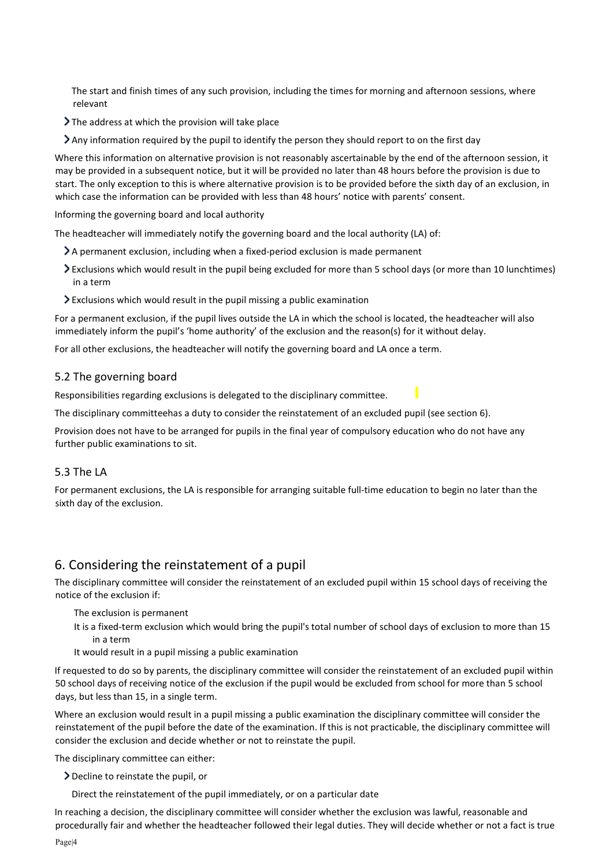The start and finish times of any such provision, including the times for morning and afternoon sessions, where relevant

- The address at which the provision will take place
- Any information required by the pupil to identify the person they should report to on the first day

Where this information on alternative provision is not reasonably ascertainable by the end of the afternoon session, it may be provided in a subsequent notice, but it will be provided no later than 48 hours before the provision is due to It alter this information required by the pupil to identify the person they should report to on the first day<br>Where this information on alternative provision is not reasonably ascertainable by the end of the afternoon sess which case the information can be provided with less than 48 hours' notice with parents' consent.

Informing the governing board and local authority

The headteacher will immediately notify the governing board and the local authority (LA) of: informing the governing board and local authority<br>Informing the governing board and local authority<br>The headteacher will immediately notify the governing board and the local authority (LA<br> $\lambda$ A permanent exclusion, includi

- $\geq$  A permanent exclusion, including when a fixed-period exclusion is made permanent
- Exclusions which would result in the pupil being excluded for more than 5 school days (or more than 10 lunchtimes) in a term
- $\geq$  Exclusions which would result in the pupil missing a public examination

For a permanent exclusion, if the pupil lives outside the LA in which the school is located, the headteacher will also immediately inform the pupil's 'home authority' of the exclusion and the reason(s) for it without delay. > Exclusions which would result in the pupil missing a public examination<br>For a permanent exclusion, if the pupil lives outside the LA in which the school is located, the headteacher will als<br>immediately inform the pupil's

For all other exclusions, the headteacher will notify the governing board and LA once a term.

#### 5.2 The governing board

Responsibilities regarding exclusions is delegated to the disciplinary committee.

The disciplinary committeehas a duty to consider the reinstatement of an excluded pupil (see section 6).

Provision does not have to be arranged for pupils in the final year of compulsory education who do not have any further public examinations to sit.

#### 5.3 The LA

For permanent exclusions, the LA is responsible for arranging suitable full-time education to begin no later than the sixth day of the exclusion.

## 6. Considering the reinstatement of a pupil

The disciplinary committee will consider the reinstatement of an excluded pupil within 15 school days of receiving the notice of the exclusion if: The disciplinary committee will consider the reinstatement of an excluded pupil within 15 school days of receiving the notice of the exclusion if:<br>The exclusion is permanent<br>It is a fixed-term exclusion which would bring t

- The exclusion is permanent
- in a term
- It would result in a pupil missing a public examination

It would result in a pupil missing a public examination<br>If requested to do so by parents, the disciplinary committee will consider the reinstatement of an excluded pupil within 50 school days of receiving notice of the exclusion if the pupil would be excluded from school for more than 5 school days, but less than 15, in a single term. 50 school days of receiving notice of the exclusion if the pupil would be excluded from school for more than 5 school<br>days, but less than 15, in a single term.<br>Where an exclusion would result in a pupil missing a public ex ception to this is where alternative provission is to be provided beformation can be provided with less than 48 hours' notice with pare<br>reming board and local authority<br>will immediately notify the governing board and the l

reinstatement of the pupil before the date of the examination. If this is not practicable, the disciplinary committee will reinstatement of the pupil before the date of the examination. If this is n<br>consider the exclusion and decide whether or not to reinstate the pupil.

The disciplinary committee can either:

- Decline to reinstate the pupil, or
- Direct the reinstatement of the pupil immediately, or on a particular date

Direct the reinstatement of the pupil immediately, or on a particular date<br>In reaching a decision, the disciplinary committee will consider whether the exclusion was lawful, reasonable and procedurally fair and whether the headteacher followed their legal duties. They will decide whether or not a fact is true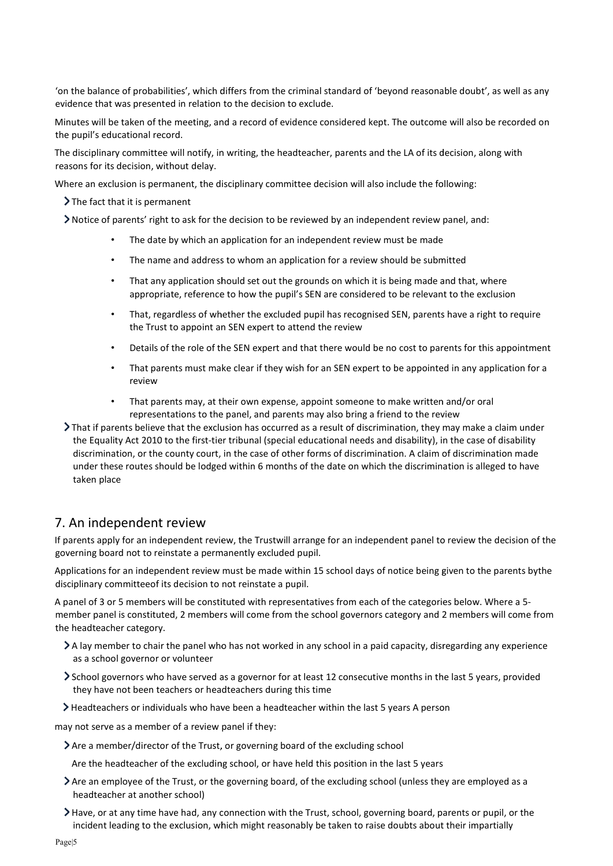'on the balance of probabilities', which differs from the criminal standard of 'beyond reasonable doubt', as well as any evidence that was presented in relation to the decision to exclude.

Minutes will be taken of the meeting, and a record of evidence considered kept. The outcome will also be recorded on the pupil's educational record. was presented in relation to the decision to exclude.<br>e taken of the meeting, and a record of evidence considered kept. The outcome will also be record<br>ucational record.<br>y committee will notify, in writing, the headteacher

The disciplinary committee will notify, in writing, the headteacher, parents and the LA of its decision, along with reasons for its decision, without delay.

Where an exclusion is permanent, the disciplinary committee decision will also include the following:

 $\sum$  The fact that it is permanent

Notice of parents' right to ask for the decision to be reviewed by an independent review panel, and: is an exclusion is permanent, the disciplinary committee decision will also include the following:<br>
The fact that it is permanent<br>
Notice of parents' right to ask for the decision to be reviewed by an independent review pa

- The date by which an application for an independent review must be made
- The name and address to whom an application for a review should be submitted
- That any application should set out the grounds on which it is being made and that, where appropriate, reference to how the pupil's SEN are considered to be relevant to the exclusion • That any application should set out the grounds on which it is being made and that, where<br>appropriate, reference to how the pupil's SEN are considered to be relevant to the exclusion<br>• That, regardless of whether the exc
- the Trust to appoint an SEN expert to attend the review
- Details of the role of the SEN expert and that there would be no cost to parents for this appointment
- That parents must make clear if they wish for an SEN expert to be appointed in any application for a review the Trust to appoint an SEN expert to attend the review<br>Details of the role of the SEN expert and that there would be no cost to parents for this appointment<br>That parents must make clear if they wish for an SEN expert to b
- That parents may, at their own expense, appoint someone to make written and/or oral That representations to the panel, and parents may also bring a friend to the review
- That if parents believe that the exclusion has occurred as a result of discrimination, they may make a claim under the Equality Act 2010 to the first-tier tribunal (special educational needs and disability), in the case of disability discrimination, or the county court, in the case of other forms of discrimination. A claim of discrimination made under these routes should be lodged within 6 months of the date on which the discrimination is alleged to have taken place representations to the panel, and parents may also bring a friend to the review<br>parents believe that the exclusion has occurred as a result of discrimination, they may make a claim under<br>uality Act 2010 to the first-tier t a review should be submitted<br>which it is being made and that, where<br>onsidered to be relevant to the exclusion<br>recognised SEN, parents have a right to requi<br>view<br>would be no cost to parents for this appoint<br>N expert to be a

#### 7. An independent review

If parents apply for an independent review, the Trustwill arrange for an independent panel to review the decision of the governing board not to reinstate a permanently excluded pupil.

Applications for an independent review must be made within 15 school days of notice being given to the parents bythe disciplinary committeeof its decision to not reinstate a pupil.

A panel of 3 or 5 members will be constituted with representatives from each of the categories below. Where a 5 disciplinary committeeof its decision to not reinstate a pupil.<br>A panel of 3 or 5 members will be constituted with representatives from each of the categories below. Where a 5-<br>member panel is constituted, 2 members will c the headteacher category.

- A lay member to chair the panel who has not worked in any school in a paid capacity, disregarding any experience as a school governor or volunteer A lay member to chair the panel who has not worked in any school in a paid capacity, disregarding any experienc<br>as a school governor or volunteer<br>School governors who have served as a governor for at least 12 consecutive m
- they have not been teachers or headteachers during this time
- Headteachers or individuals who have been a headteacher within the last 5 years A person

may not serve as a member of a review panel if they:

Are a member/director of the Trust, or governing board of the excluding school

Are the headteacher of the excluding school, or have held this position in the last 5 years

- Are an employee of the Trust, or the governing board, of the excluding school (unless they are employed as a headteacher at another school) is a member of a review panel if they:<br>
ber/director of the Trust, or governing board of the excluding school<br>
dteacher of the excluding school, or have held this position in the last 5 years<br>
loyee of the Trust, or the go
- Have, or at any time have had, any connection with the Trust, school, governing board, parents or pupil, or the incident leading to the exclusion, which might reasonably be taken to raise doubts about their impartially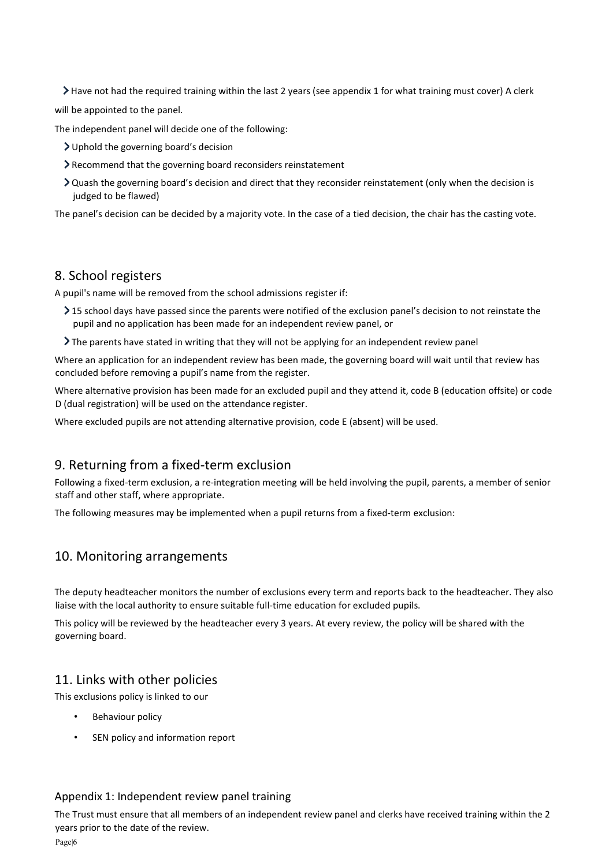Have not had the required training within the last 2 years (see appendix 1 for what training must cover) A clerk<br>be appointed to the panel.<br>independent panel will decide one of the following:

will be appointed to the panel.

The independent panel will decide one of the following:

- Uphold the governing board's decision
- Recommend that the governing board reconsiders reinstatement
- Quash the governing board's decision and direct that they reconsider reinstatement (only when the decision is judged to be flawed)

The panel's decision can be decided by a majority vote. In the case of a tied decision, the chair has the casting vote.

#### 8. School registers

A pupil's name will be removed from the school admissions register if:

- 15 school days have passed since the parents were notified of the exclusion panel's decision to not reinstate the pupil and no application has been made for an independent review panel, or that they reconsider reinstatement (only when the decision is<br>
i udged to be flawed)<br>
The panel's decision can be decided by a majority vote. In the case of a tied decision, the chair has the casting vote.<br> **S.** School reg
	- The parents have stated in writing that they will not be applying for an independent review panel

Where an application for an independent review has been made, the governing board will wait until that review has concluded before removing a pupil's name from the register.

Where alternative provision has been made for an excluded pupil and they attend it, code B (education offsite) or code D (dual registration) will be used on the attendance register. in for an independent review has been made, the governing board will wait until that review has moving a pupil's name from the register.<br>The attendance attendance attendance attendance pupil and the attend it, code B (educ

Where excluded pupils are not attending alternative provision, code E (absent) will be used.

## 9. Returning from a fixed-term exclusion

Following a fixed-term exclusion, a re-integration meeting will be held involving the pupil, parents, a member of senior staff and other staff, where appropriate. Following a fixed-term exclusion, a re-integration meeting will be held involving the pupil, parent<br>staff and other staff, where appropriate.<br>The following measures may be implemented when a pupil returns from a fixed-term

## 10. Monitoring arrangements Monitoring

The deputy headteacher monitors the number of exclusions every term and reports back to the headteacher. They also The deputy back to the liaise with the local authority to ensure suitable full-time education for excluded pupils. The following measures may be implemented when a pupil returns from a fixed-term exclusion:<br>
10. Monitoring arrangements<br>
The deputy headteacher monitors the number of exclusions every term and reports back to the headteac

This policy will be reviewed by the headteacher every 3 years. At every review, the policy will be shared with the governing board.

## 11. Links with other policies

This exclusions policy is linked to our

- Behaviour policy
- SEN policy and information report

#### Appendix 1: Independent review panel training

The Trust must ensure that all members of an independent review panel and clerks have received training within the 2 years prior to the date of the review.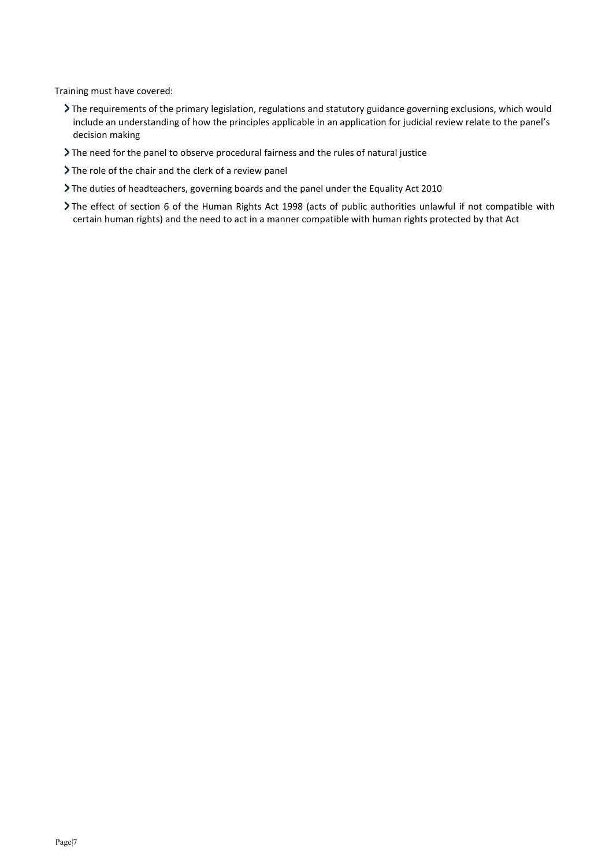Training must have covered:

- The requirements of the primary legislation, regulations and statutory guidance governing exclusions, which would include an understanding of how the principles applicable in an application for judicial review relate to the panel's decision making The requirements of the primary legislation, regulations and statutory guidance governing exclusions, which<br>include an understanding of how the principles applicable in an application for judicial review relate to the<br>deci
- The need for the panel to observe procedural fairness and the rules of natural justice
- > The role of the chair and the clerk of a review panel
- The duties of headteachers, governing boards and the panel under the Equality Act 2010
- The effect of section 6 of the Human Rights Act 1998 (acts of public authorities unlawful if not compatible with certain human rights) and the need to act in a manner compatible with human rights protected by that Act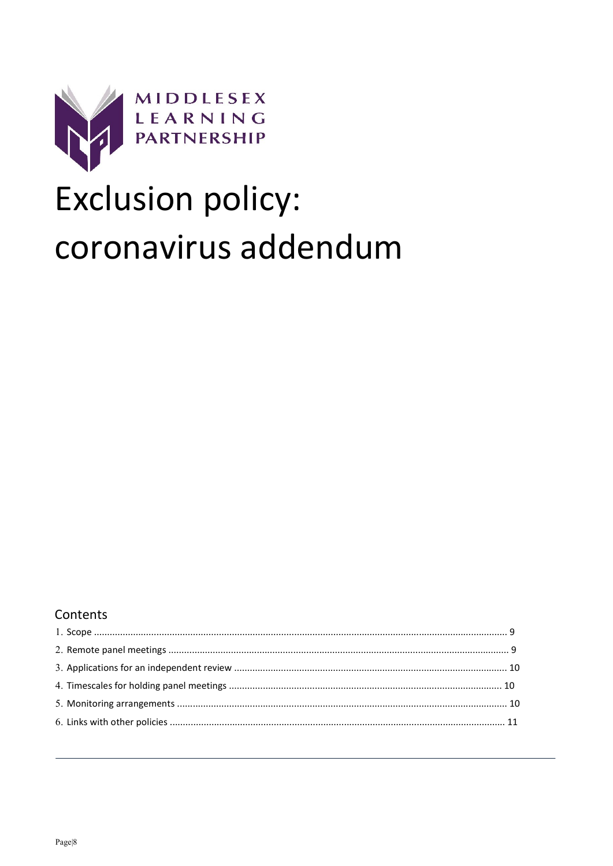

# Exclusion policy: coronavirus addendum

## Contents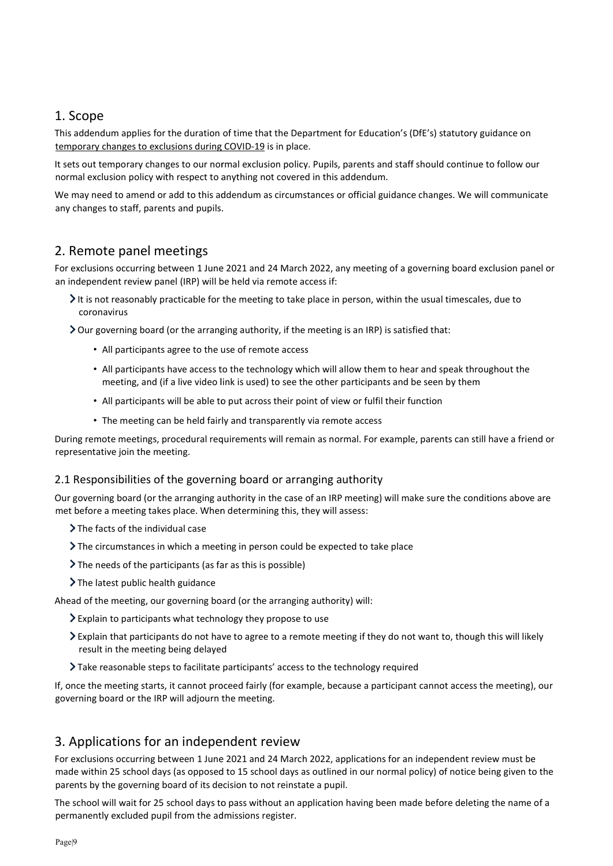## 1. Scope

This addendum applies for the duration of time that the Department for Education's (DfE's) statutory guidance on<br>temporary changes to exclusions during COVID-19 is in place. temporary changes to exclusions during COVID-19 is in place.

It sets out temporary changes to our normal exclusion policy. Pupils, parents and staff should continue to follow our normal exclusion policy with respect to anything not covered in this addendum. It sets out temporary changes to our normal exclusion policy. Pupils, parents and staff should continue to follow our<br>normal exclusion policy with respect to anything not covered in this addendum.<br>We may need to amend or a

any changes to staff, parents and pupils.

## 2. Remote panel meetings

For exclusions occurring between 1 June 2021 and 24 March 2022, any meeting of a governing board exclusion panel or an independent review panel (IRP) will be held via remote access if:

It is not reasonably practicable for the meeting to take place in person, within the usual timescales, due to coronavirus It is not reasonably practicable for the meeting to take place in person, within the usual tire<br>oronavirus<br>Our governing board (or the arranging authority, if the meeting is an IRP) is satisfied that:

- All participants agree to the use of remote access
- All participants have access to the technology which will allow them to hear and speak throughout the All participants have access to the technology which will allow them to hear and speak thro<br>meeting, and (if a live video link is used) to see the other participants and be seen by them
- All participants will be able to put across their point of view or fulfil their function
- The meeting can be held fairly and transparently via remote access

All participants will be able to put across their point of view or fulfil their function<br>The meeting can be held fairly and transparently via remote access<br>During remote meetings, procedural requirements will remain as nor representative join the meeting.

#### 2.1 Responsibilities of the governing board or arranging authority

Our governing board (or the arranging authority in the case of an IRP meeting) will make sure the conditions above are<br>met before a meeting takes place. When determining this, they will assess: met before a meeting takes place. When determining this, they will assess:

- $\sum$  The facts of the individual case
- The circumstances in which a meeting in person could be expected to take place
- $\sum$  The needs of the participants (as far as this is possible)
- > The latest public health guidance

Ahead of the meeting, our governing board (or the arranging authority) will:

- Explain to participants what technology they propose to use
- The circumstances in which a meeting in person could be expected to take place<br>The needs of the participants (as far as this is possible)<br>The latest public health guidance<br>d of the meeting, our governing board (or the arra result in the meeting being delayed
- Take reasonable steps to facilitate participants' access to the technology required

If, once the meeting being delayed<br>Take reasonable steps to facilitate participants' access to the technology required<br>If, once the meeting starts, it cannot proceed fairly (for example, because a participant cannot access governing board or the IRP will adjourn the meeting.

## 3. Applications for an independent review

governing board or the IRP will adjourn the meeting.<br>3. Applications for an independent review<br>For exclusions occurring between 1 June 2021 and 24 March 2022, applications for an independent review must be made within 25 school days (as opposed to 15 school days as outlined in our normal policy) of notice being given to the parents by the governing board of its decision to not reinstate a pupil. made within 25 school days (as opposed to 15 school days as outlined in our normal policy) of notice being given to the<br>parents by the governing board of its decision to not reinstate a pupil.<br>The school will wait for 25 s dor add to this addendum as circumstances or official guidance changes<br>
meetings<br>
meetings<br>
petween 1 June 2021 and 24 March 2022, any meeting of a governing is<br>
petween 1 June 2021 and 24 March 2022, any meeting of a gove

permanently excluded pupil from the admissions register.